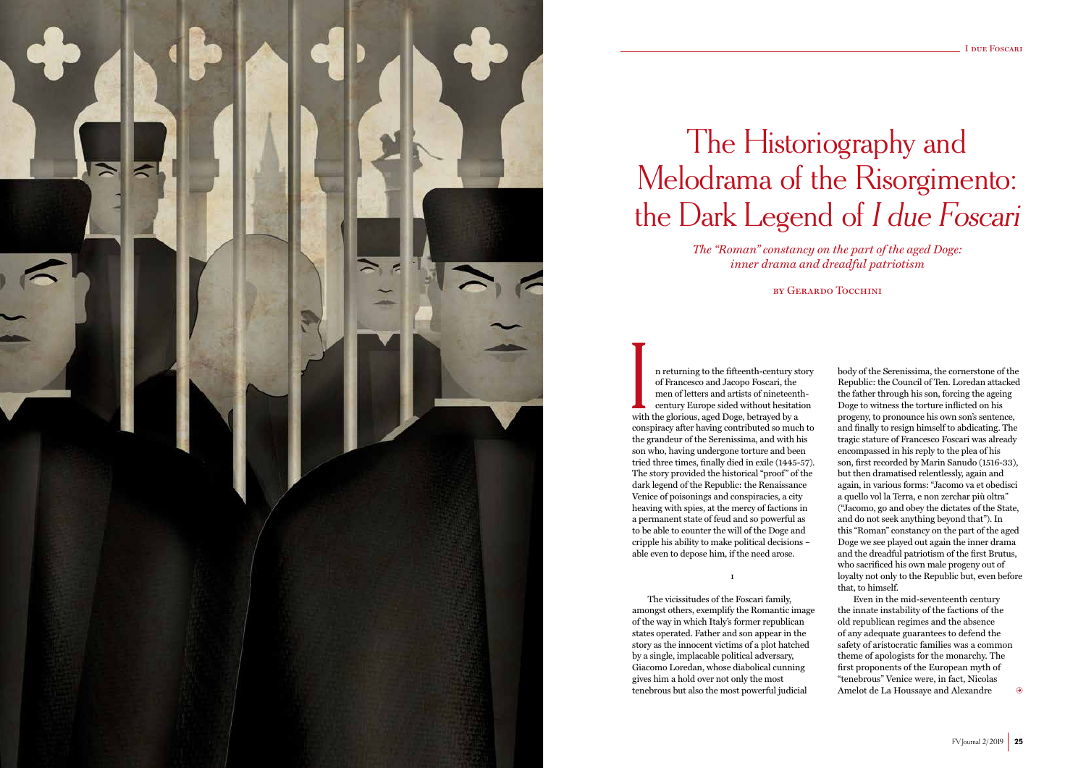

# The Historiography and Melodrama of the Risorgimento: the Dark Legend of I due Foscari

n returning to the fifteenth-century story of Francesco and Jacopo Foscari, the men of letters and artists of nineteenthcentury Europe sided without hesitation with the glorious, aged Doge, betrayed by a conspiracy after having contributed so much to the grandeur of the Serenissima, and with his son who, having undergone torture and been tried three times, finally died in exile (1445-57). The story provided the historical "proof" of the dark legend of the Republic: the Renaissance Venice of poisonings and conspiracies, a city heaving with spies, at the mercy of factions in a permanent state of feud and so powerful as to be able to counter the will of the Doge and cripple his ability to make political decisions – able even to depose him, if the need arose. I

*The "Roman" constancy on the part of the aged Doge: inner drama and dreadful patriotism*

by Gerardo Tocchini

i

Even in the mid-seventeenth century the innate instability of the factions of the old republican regimes and the absence of any adequate guarantees to defend the safety of aristocratic families was a common theme of apologists for the monarchy. The first proponents of the European myth of "tenebrous" Venice were, in fact, Nicolas Amelot de La Houssaye and Alexandre  $\odot$ 

The vicissitudes of the Foscari family, amongst others, exemplify the Romantic image of the way in which Italy's former republican states operated. Father and son appear in the story as the innocent victims of a plot hatched by a single, implacable political adversary, Giacomo Loredan, whose diabolical cunning gives him a hold over not only the most tenebrous but also the most powerful judicial

body of the Serenissima, the cornerstone of the Republic: the Council of Ten. Loredan attacked the father through his son, forcing the ageing Doge to witness the torture inflicted on his progeny, to pronounce his own son's sentence, and finally to resign himself to abdicating. The tragic stature of Francesco Foscari was already encompassed in his reply to the plea of his son, first recorded by Marin Sanudo (1516-33), but then dramatised relentlessly, again and again, in various forms: "Jacomo va et obedisci a quello vol la Terra, e non zerchar più oltra" ("Jacomo, go and obey the dictates of the State, and do not seek anything beyond that"). In this "Roman" constancy on the part of the aged Doge we see played out again the inner drama and the dreadful patriotism of the first Brutus, who sacrificed his own male progeny out of loyalty not only to the Republic but, even before that, to himself.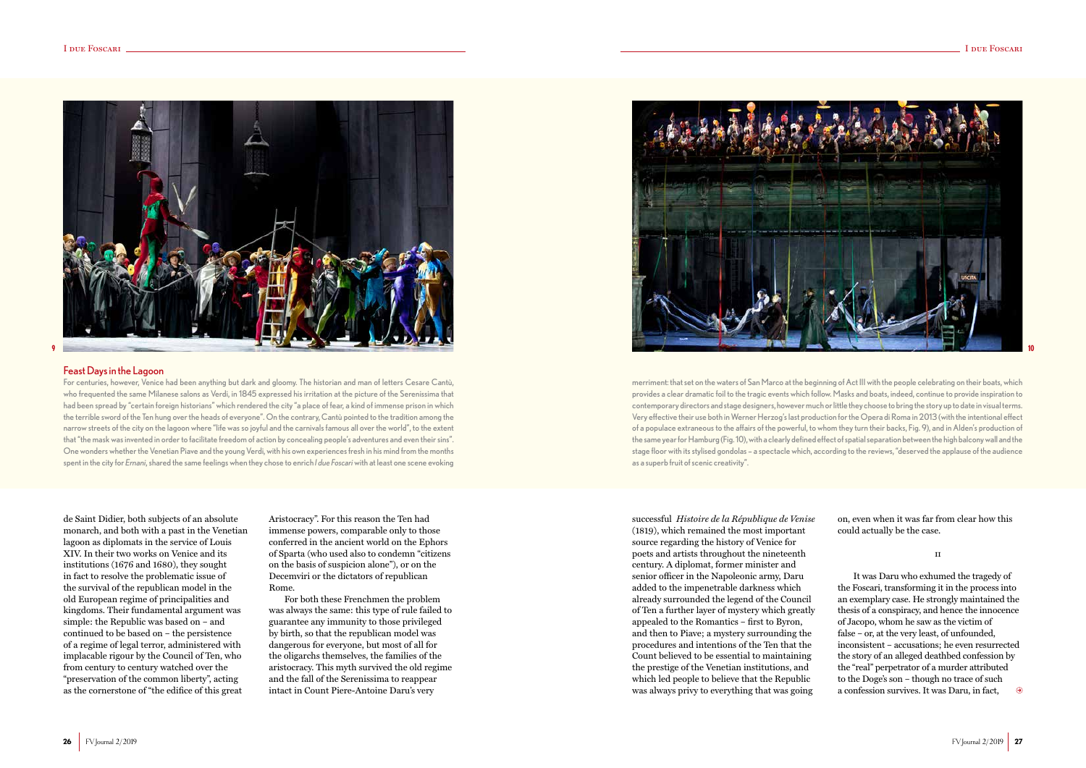de Saint Didier, both subjects of an absolute monarch, and both with a past in the Venetian lagoon as diplomats in the service of Louis XIV. In their two works on Venice and its institutions (1676 and 1680), they sought in fact to resolve the problematic issue of the survival of the republican model in the old European regime of principalities and kingdoms. Their fundamental argument was simple: the Republic was based on – and continued to be based on – the persistence of a regime of legal terror, administered with implacable rigour by the Council of Ten, who from century to century watched over the "preservation of the common liberty", acting as the cornerstone of "the edifice of this great

Aristocracy". For this reason the Ten had immense powers, comparable only to those conferred in the ancient world on the Ephors of Sparta (who used also to condemn "citizens on the basis of suspicion alone"), or on the Decemviri or the dictators of republican Rome.

It was Daru who exhumed the tragedy of the Foscari, transforming it in the process into an exemplary case. He strongly maintained the thesis of a conspiracy, and hence the innocence of Jacopo, whom he saw as the victim of false – or, at the very least, of unfounded, inconsistent – accusations; he even resurrected the story of an alleged deathbed confession by the "real" perpetrator of a murder attributed to the Doge's son – though no trace of such a confession survives. It was Daru, in fact,  $\Theta$ 

For both these Frenchmen the problem was always the same: this type of rule failed to guarantee any immunity to those privileged by birth, so that the republican model was dangerous for everyone, but most of all for the oligarchs themselves, the families of the aristocracy. This myth survived the old regime and the fall of the Serenissima to reappear intact in Count Piere-Antoine Daru's very



successful *Histoire de la République de Venise* (1819), which remained the most important source regarding the history of Venice for poets and artists throughout the nineteenth century. A diplomat, former minister and senior officer in the Napoleonic army, Daru added to the impenetrable darkness which already surrounded the legend of the Council of Ten a further layer of mystery which greatly appealed to the Romantics – first to Byron, and then to Piave; a mystery surrounding the procedures and intentions of the Ten that the Count believed to be essential to maintaining the prestige of the Venetian institutions, and which led people to believe that the Republic was always privy to everything that was going

on, even when it was far from clear how this could actually be the case.

**ii** 

### Feast Days in the Lagoon

For centuries, however, Venice had been anything but dark and gloomy. The historian and man of letters Cesare Cantù, who frequented the same Milanese salons as Verdi, in 1845 expressed his irritation at the picture of the Serenissima that had been spread by "certain foreign historians" which rendered the city "a place of fear, a kind of immense prison in which the terrible sword of the Ten hung over the heads of everyone". On the contrary, Cantù pointed to the tradition among the narrow streets of the city on the lagoon where "life was so joyful and the carnivals famous all over the world", to the extent that "the mask was invented in order to facilitate freedom of action by concealing people's adventures and even their sins". One wonders whether the Venetian Piave and the young Verdi, with his own experiences fresh in his mind from the months spent in the city for *Ernani*, shared the same feelings when they chose to enrich *I due Foscari* with at least one scene evoking

merriment: that set on the waters of San Marco at the beginning of Act III with the people celebrating on their boats, which provides a clear dramatic foil to the tragic events which follow. Masks and boats, indeed, continue to provide inspiration to contemporary directors and stage designers, however much or little they choose to bring the story up to date in visual terms. Very effective their use both in Werner Herzog's last production for the Opera di Roma in 2013 (with the intentional effect of a populace extraneous to the affairs of the powerful, to whom they turn their backs, Fig. 9), and in Alden's production of the same year for Hamburg (Fig. 10), with a clearly defined effect of spatial separation between the high balcony wall and the stage floor with its stylised gondolas – a spectacle which, according to the reviews, "deserved the applause of the audience as a superb fruit of scenic creativity".

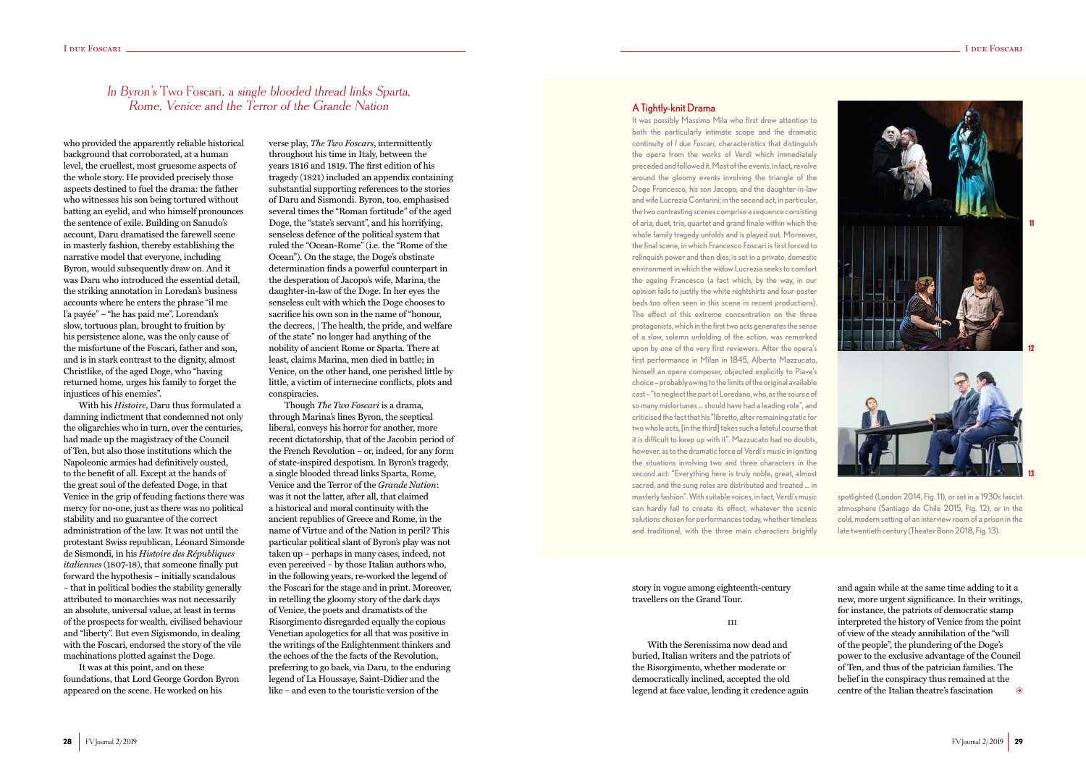### I due Foscari <u>in due Foscari due Foscari due Foscari</u> I due Foscari I due I due I due I due I due I due I due I



who provided the apparently reliable historical background that corroborated, at a human level, the cruellest, most gruesome aspects of the whole story. He provided precisely those aspects destined to fuel the drama: the father who witnesses his son being tortured without batting an eyelid, and who himself pronounces the sentence of exile. Building on Sanudo's account, Daru dramatised the farewell scene in masterly fashion, thereby establishing the narrative model that everyone, including Byron, would subsequently draw on. And it was Daru who introduced the essential detail, the striking annotation in Loredan's business accounts where he enters the phrase "il me l'a payée" – "he has paid me". Lorendan's slow, tortuous plan, brought to fruition by his persistence alone, was the only cause of the misfortune of the Foscari, father and son, and is in stark contrast to the dignity, almost Christlike, of the aged Doge, who "having returned home, urges his family to forget the injustices of his enemies".

With his *Histoire*, Daru thus formulated a damning indictment that condemned not only the oligarchies who in turn, over the centuries, had made up the magistracy of the Council of Ten, but also those institutions which the Napoleonic armies had definitively ousted, to the benefit of all. Except at the hands of the great soul of the defeated Doge, in that Venice in the grip of feuding factions there was mercy for no-one, just as there was no political stability and no guarantee of the correct administration of the law. It was not until the protestant Swiss republican, Léonard Simonde de Sismondi, in his *Histoire des Républiques italiennes* (1807-18), that someone finally put forward the hypothesis – initially scandalous – that in political bodies the stability generally attributed to monarchies was not necessarily an absolute, universal value, at least in terms of the prospects for wealth, civilised behaviour and "liberty". But even Sigismondo, in dealing with the Foscari, endorsed the story of the vile machinations plotted against the Doge.

It was at this point, and on these foundations, that Lord George Gordon Byron appeared on the scene. He worked on his

# In Byron's Two Foscari, a single blooded thread links Sparta, Rome, Venice and the Terror of the Grande Nation A Tightly-knit Drama

verse play, *The Two Foscars*, intermittently throughout his time in Italy, between the years 1816 and 1819. The first edition of his tragedy (1821) included an appendix containing substantial supporting references to the stories of Daru and Sismondi. Byron, too, emphasised several times the "Roman fortitude" of the aged Doge, the "state's servant", and his horrifying, senseless defence of the political system that ruled the "Ocean-Rome" (i.e. the "Rome of the Ocean"). On the stage, the Doge's obstinate determination finds a powerful counterpart in the desperation of Jacopo's wife, Marina, the daughter-in-law of the Doge. In her eyes the senseless cult with which the Doge chooses to sacrifice his own son in the name of "honour, the decrees, | The health, the pride, and welfare of the state" no longer had anything of the nobility of ancient Rome or Sparta. There at least, claims Marina, men died in battle; in Venice, on the other hand, one perished little by little, a victim of internecine conflicts, plots and conspiracies.

Though *The Two Foscari* is a drama, through Marina's lines Byron, the sceptical liberal, conveys his horror for another, more recent dictatorship, that of the Jacobin period of the French Revolution – or, indeed, for any form of state-inspired despotism. In Byron's tragedy, a single blooded thread links Sparta, Rome, Venice and the Terror of the *Grande Nation*: was it not the latter, after all, that claimed a historical and moral continuity with the ancient republics of Greece and Rome, in the name of Virtue and of the Nation in peril? This particular political slant of Byron's play was not taken up – perhaps in many cases, indeed, not even perceived – by those Italian authors who, in the following years, re-worked the legend of the Foscari for the stage and in print. Moreover, in retelling the gloomy story of the dark days of Venice, the poets and dramatists of the Risorgimento disregarded equally the copious Venetian apologetics for all that was positive in the writings of the Enlightenment thinkers and the echoes of the the facts of the Revolution, preferring to go back, via Daru, to the enduring legend of La Houssaye, Saint-Didier and the like – and even to the touristic version of the

story in vogue among eighteenth-century travellers on the Grand Tour.

### iii

With the Serenissima now dead and buried, Italian writers and the patriots of the Risorgimento, whether moderate or democratically inclined, accepted the old legend at face value, lending it credence again and again while at the same time adding to it a new, more urgent significance. In their writings, for instance, the patriots of democratic stamp interpreted the history of Venice from the point of view of the steady annihilation of the "will of the people", the plundering of the Doge's power to the exclusive advantage of the Council of Ten, and thus of the patrician families. The belief in the conspiracy thus remained at the  $\Theta$ centre of the Italian theatre's fascination

It was possibly Massimo Mila who first drew attention to both the particularly intimate scope and the dramatic continuity of *I due Foscari*, characteristics that distinguish the opera from the works of Verdi which immediately preceded and followed it. Most of the events, in fact, revolve around the gloomy events involving the triangle of the Doge Francesco, his son Jacopo, and the daughter-in-law and wife Lucrezia Contarini; in the second act, in particular, the two contrasting scenes comprise a sequence consisting of aria, duet, trio, quartet and grand finale within which the whole family tragedy unfolds and is played out. Moreover, the final scene, in which Francesco Foscari is first forced to relinquish power and then dies, is set in a private, domestic environment in which the widow Lucrezia seeks to comfort the ageing Francesco (a fact which, by the way, in our opinion fails to justify the white nightshirts and four-poster beds too often seen in this scene in recent productions). The effect of this extreme concentration on the three protagonists, which in the first two acts generates the sense of a slow, solemn unfolding of the action, was remarked upon by one of the very first reviewers. After the opera's first performance in Milan in 1845, Alberto Mazzucato, himself an opera composer, objected explicitly to Piave's choice – probably owing to the limits of the original available cast – "to neglect the part of Loredano, who, as the source of so many misfortunes … should have had a leading role", and criticised the fact that his "libretto, after remaining static for two whole acts, [in the third] takes such a fateful course that it is difficult to keep up with it". Mazzucato had no doubts, however, as to the dramatic force of Verdi's music in igniting the situations involving two and three characters in the second act: "Everything here is truly noble, great, almost sacred, and the sung roles are distributed and treated … in masterly fashion". With suitable voices, in fact, Verdi's music can hardly fail to create its effect, whatever the scenic solutions chosen for performances today, whether timeless and traditional, with the three main characters brightly

spotlighted (London 2014, Fig. 11), or set in a 1930s fascist atmosphere (Santiago de Chile 2015, Fig. 12), or in the cold, modern setting of an interview room of a prison in the late twentieth century (Theater Bonn 2018, Fig. 13).

**11**

**12**

**13**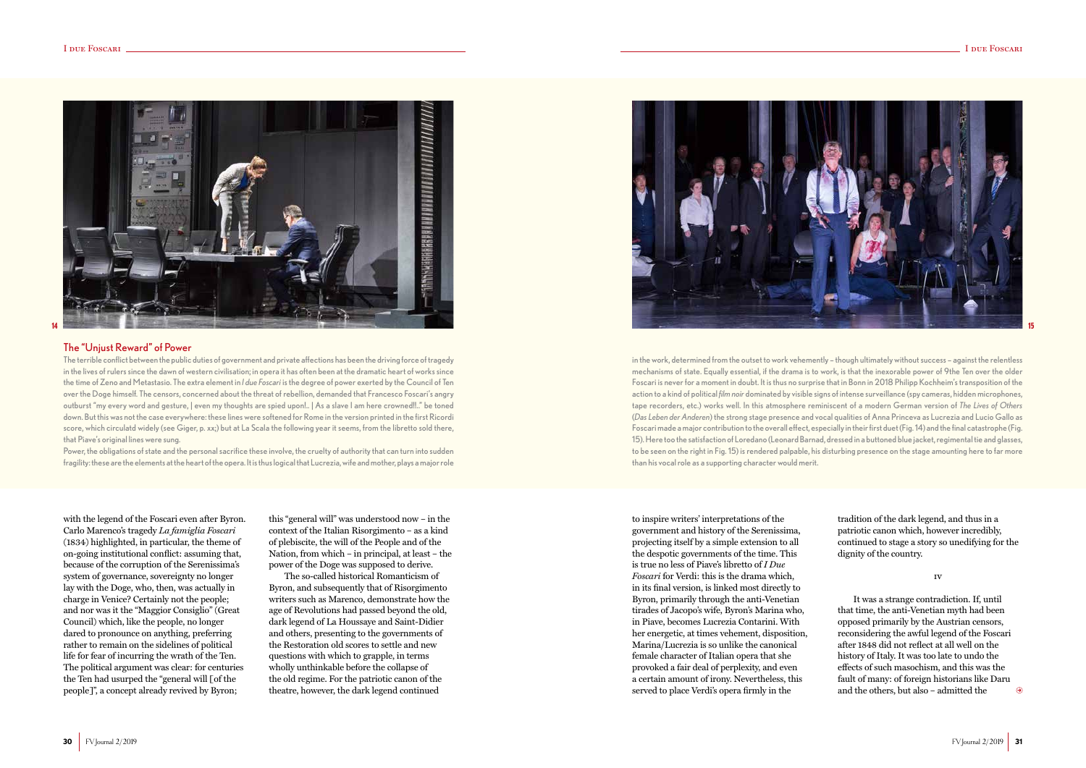with the legend of the Foscari even after Byron. Carlo Marenco's tragedy *La famiglia Foscari* (1834) highlighted, in particular, the theme of on-going institutional conflict: assuming that, because of the corruption of the Serenissima's system of governance, sovereignty no longer lay with the Doge, who, then, was actually in charge in Venice? Certainly not the people; and nor was it the "Maggior Consiglio" (Great Council) which, like the people, no longer dared to pronounce on anything, preferring rather to remain on the sidelines of political life for fear of incurring the wrath of the Ten. The political argument was clear: for centuries the Ten had usurped the "general will [of the people]", a concept already revived by Byron;

this "general will" was understood now – in the context of the Italian Risorgimento – as a kind of plebiscite, the will of the People and of the Nation, from which – in principal, at least – the power of the Doge was supposed to derive.

The so-called historical Romanticism of Byron, and subsequently that of Risorgimento writers such as Marenco, demonstrate how the age of Revolutions had passed beyond the old, dark legend of La Houssaye and Saint-Didier and others, presenting to the governments of the Restoration old scores to settle and new questions with which to grapple, in terms wholly unthinkable before the collapse of the old regime. For the patriotic canon of the theatre, however, the dark legend continued

to inspire writers' interpretations of the government and history of the Serenissima, projecting itself by a simple extension to all the despotic governments of the time. This is true no less of Piave's libretto of *I Due Foscari* for Verdi: this is the drama which, in its final version, is linked most directly to Byron, primarily through the anti-Venetian tirades of Jacopo's wife, Byron's Marina who, in Piave, becomes Lucrezia Contarini. With her energetic, at times vehement, disposition, Marina/Lucrezia is so unlike the canonical female character of Italian opera that she provoked a fair deal of perplexity, and even a certain amount of irony. Nevertheless, this served to place Verdi's opera firmly in the

tradition of the dark legend, and thus in a patriotic canon which, however incredibly, continued to stage a story so unedifying for the dignity of the country.

### iv

It was a strange contradiction. If, until that time, the anti-Venetian myth had been opposed primarily by the Austrian censors, reconsidering the awful legend of the Foscari after 1848 did not reflect at all well on the history of Italy. It was too late to undo the effects of such masochism, and this was the fault of many: of foreign historians like Daru and the others, but also – admitted the

 $\Theta$ 



### The "Unjust Reward" of Power

The terrible conflict between the public duties of government and private affections has been the driving force of tragedy in the lives of rulers since the dawn of western civilisation; in opera it has often been at the dramatic heart of works since the time of Zeno and Metastasio. The extra element in *I due Foscari* is the degree of power exerted by the Council of Ten over the Doge himself. The censors, concerned about the threat of rebellion, demanded that Francesco Foscari's angry outburst "my every word and gesture, | even my thoughts are spied upon!.. | As a slave I am here crowned!!.." be toned down. But this was not the case everywhere: these lines were softened for Rome in the version printed in the first Ricordi score, which circulatd widely (see Giger, p. xx;) but at La Scala the following year it seems, from the libretto sold there, that Piave's original lines were sung.

Power, the obligations of state and the personal sacrifice these involve, the cruelty of authority that can turn into sudden fragility: these are the elements at the heart of the opera. It is thus logical that Lucrezia, wife and mother, plays a major role in the work, determined from the outset to work vehemently – though ultimately without success – against the relentless mechanisms of state. Equally essential, if the drama is to work, is that the inexorable power of 9the Ten over the older Foscari is never for a moment in doubt. It is thus no surprise that in Bonn in 2018 Philipp Kochheim's transposition of the action to a kind of political *film noir* dominated by visible signs of intense surveillance (spy cameras, hidden microphones, tape recorders, etc.) works well. In this atmosphere reminiscent of a modern German version of *The Lives of Others* (*Das Leben der Anderen*) the strong stage presence and vocal qualities of Anna Princeva as Lucrezia and Lucio Gallo as Foscari made a major contribution to the overall effect, especially in their first duet (Fig. 14) and the final catastrophe (Fig. 15). Here too the satisfaction of Loredano (Leonard Barnad, dressed in a buttoned blue jacket, regimental tie and glasses, to be seen on the right in Fig. 15) is rendered palpable, his disturbing presence on the stage amounting here to far more than his vocal role as a supporting character would merit.